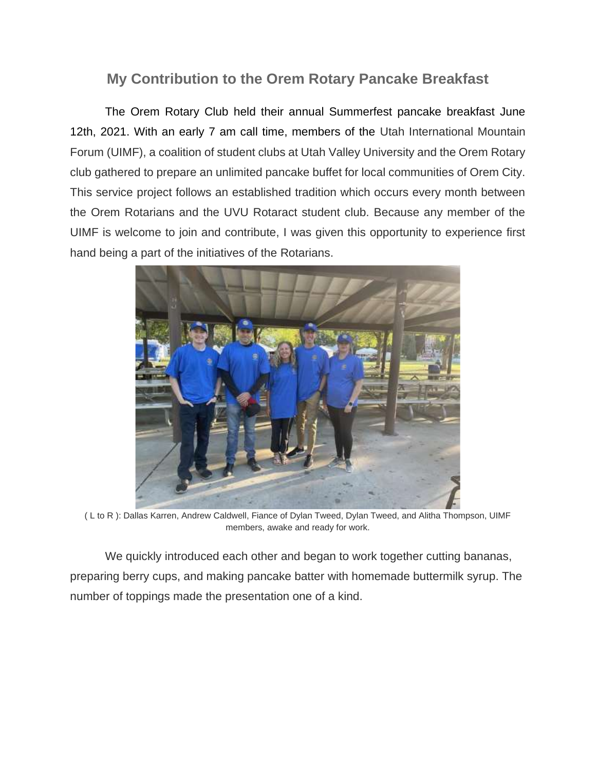## **My Contribution to the Orem Rotary Pancake Breakfast**

The Orem Rotary Club held their annual Summerfest pancake breakfast June 12th, 2021. With an early 7 am call time, members of the Utah International Mountain Forum (UIMF), a coalition of student clubs at Utah Valley University and the Orem Rotary club gathered to prepare an unlimited pancake buffet for local communities of Orem City. This service project follows an established tradition which occurs every month between the Orem Rotarians and the UVU Rotaract student club. Because any member of the UIMF is welcome to join and contribute, I was given this opportunity to experience first hand being a part of the initiatives of the Rotarians.



( L to R ): Dallas Karren, Andrew Caldwell, Fiance of Dylan Tweed, Dylan Tweed, and Alitha Thompson, UIMF members, awake and ready for work.

We quickly introduced each other and began to work together cutting bananas, preparing berry cups, and making pancake batter with homemade buttermilk syrup. The number of toppings made the presentation one of a kind.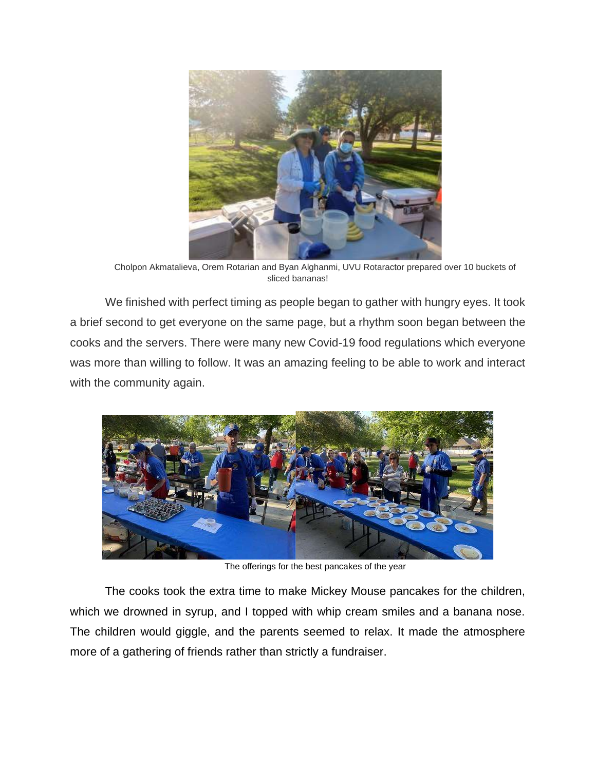

Cholpon Akmatalieva, Orem Rotarian and Byan Alghanmi, UVU Rotaractor prepared over 10 buckets of sliced bananas!

We finished with perfect timing as people began to gather with hungry eyes. It took a brief second to get everyone on the same page, but a rhythm soon began between the cooks and the servers. There were many new Covid-19 food regulations which everyone was more than willing to follow. It was an amazing feeling to be able to work and interact with the community again.



The offerings for the best pancakes of the year

The cooks took the extra time to make Mickey Mouse pancakes for the children, which we drowned in syrup, and I topped with whip cream smiles and a banana nose. The children would giggle, and the parents seemed to relax. It made the atmosphere more of a gathering of friends rather than strictly a fundraiser.